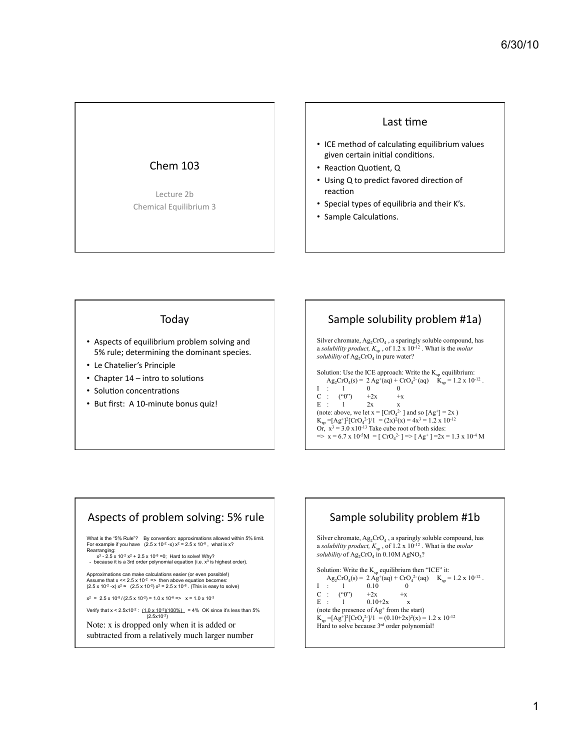### **Chem 103**

Lecture 2b Chemical Equilibrium 3

#### Last time

- ICE method of calculating equilibrium values given certain initial conditions.
- Reaction Quotient, Q
- Using Q to predict favored direction of reaction
- Special types of equilibria and their K's.
- Sample Calculations.

#### Today

- Aspects of equilibrium problem solving and 5% rule; determining the dominant species.
- Le Chatelier's Principle
- Chapter 14 intro to solutions
- Solution concentrations
- But first: A 10-minute bonus quiz!

# Sample solubility problem #1a)

Silver chromate,  $Ag_2CrO_4$ , a sparingly soluble compound, has a solubility product,  $K_{sp}$ , of 1.2 x 10<sup>-12</sup>. What is the *molar*<br>solubility of Ag<sub>2</sub>CrO<sub>4</sub> in pure water?

```
Solution: Use the ICE approach: Write the K_{so} equilibrium:
     Ag<sub>2</sub>CrO<sub>4</sub>(s) = 2 Ag<sup>+</sup>(aq) + CrO<sub>4</sub><sup>2</sup><sup>-</sup>(aq) K_{sp} = 1.2 \times 10^{-12}.
                            \overline{0}\overline{0}T
     \pm\overline{1}+2x("0")
C :
                                              +x
```
 $E - t$  $\overline{1}$  $2x$  $\mathbf{x}$ (note: above, we let  $x = [CrO<sub>4</sub><sup>2</sup>$  and so  $[Ag<sup>+</sup>] = 2x$ )  $K_{sp} = [Ag^+]^2 [CrQ_4^2]/1 = (2x)^2(x) = 4x^3 = 1.2 \times 10^{-12}$ <br>Or,  $x^3 = 3.0 \times 10^{-13}$  Take cube root of both sides:  $\Rightarrow$  x = 6.7 x 10<sup>-5</sup>M = [CrO<sub>4</sub><sup>2</sup>·]  $\Rightarrow$  [Ag<sup>+</sup>] = 2x = 1.3 x 10<sup>-4</sup> M

### Aspects of problem solving: 5% rule

What is the "5% Rule"? By convention: approximations allowed within 5% limit. For example if you have  $(2.5 \times 10^{-2} \text{ s})$   $\times$   $\frac{1}{2}$  and  $\frac{1}{2}$  and  $\frac{1}{2}$  and  $\frac{1}{2}$  and  $\frac{1}{2}$  and  $\frac{1}{2}$  and  $\frac{1}{2}$  and  $\frac{1}{2}$  and  $\frac{1}{2}$  and  $\frac{1}{2}$  and  $\frac{1}{2}$  and  $\frac{1}{2}$  and  $\frac{$ 

Approximations can make calculations easier (or even possible!)<br>Assume that  $x < 2.5 \times 10^{-2}$  => then above equation becomes:<br>(2.5 x 10<sup>-2</sup> -x)  $x^2 \approx (2.5 \times 10^{-2}) x^2 = 2.5 \times 10^{-8}$ . (This is easy to solve)

 $x^2 = 2.5 \times 10^{-8} / (2.5 \times 10^{-2}) = 1.0 \times 10^{-6} = x = 1.0 \times 10^{-3}$ 

Verify that  $x < 2.5x10^{-2}$ :  $(1.0 \times 10^{-3})(100\%)$  = 4% OK since it's less than 5%  $(2.5x10^{-2})$ 

Note: x is dropped only when it is added or subtracted from a relatively much larger number

### Sample solubility problem #1b

Silver chromate, Ag<sub>2</sub>CrO<sub>4</sub>, a sparingly soluble compound, has<br>a *solubility product*,  $K_{sp}$ , of 1.2 x 10<sup>-12</sup>. What is the *molar* solubility of  $\text{Ag}_2\text{CrO}_4$  in 0.10M AgNO<sub>3</sub>?

Solution: Write the  $K_{sp}$  equilibrium then "ICE" it: Ag<sub>2</sub>CrO<sub>4</sub>(s) = 2 Ag<sup>+</sup>(aq) + CrO<sub>4</sub><sup>2</sup>-(aq)  $K_{sp} = 1.2 \times 10^{-12}$ .  $\mathbf{I}$  $\overline{1}$ 0.10  $\theta$  $\ddot{\phantom{a}}$  $\mathbf C$  $($ "0")  $+2x$  $\ddot{\phantom{a}}$  $+x$  ${\bf E}$  :  $\overline{1}$  $0.10 + 2x$  $\mathbf{x}$ (note the presence of Ag<sup>+</sup> from the start)  $K_{sp} = [Ag^+]^2 [CrO_4^2]/1 = (0.10+2x)^2(x) = 1.2 \times 10^{-12}$ Hard to solve because  $3<sup>rd</sup>$  order polynomial!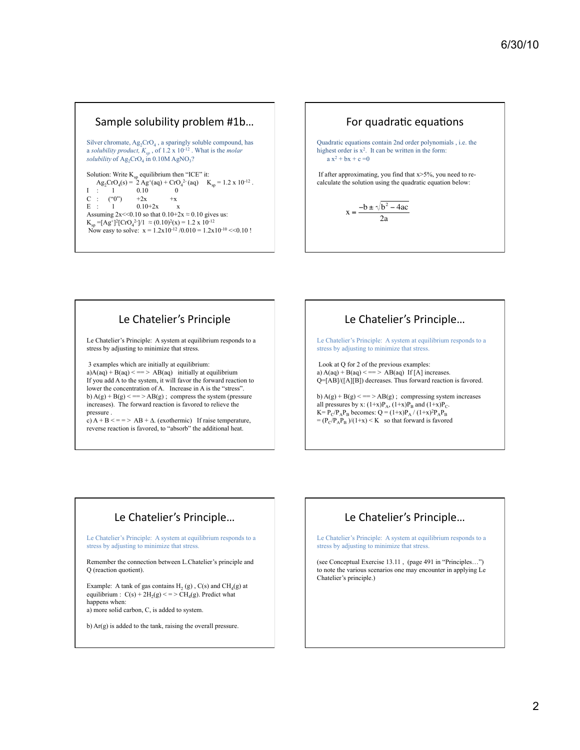#### Sample solubility problem #1b...

Silver chromate,  $Ag_2CrO_4$ , a sparingly soluble compound, has a *solubility product, Ksp* , of 1.2 x 10-12 . What is the *molar solubility* of  $\text{Ag}_2\text{CrO}_4$  in  $0.10\text{M AgNO}_3$ ?

Solution: Write  $K_{sp}$  equilibrium then "ICE" it:  $\text{Ag}_2\text{CrO}_4(\text{s}) = 2 \text{Ag}^+(\text{aq}) + \text{CrO}_4^2(\text{aq})$   $\text{K}_{\text{sp}} = 1.2 \times 10^{-12}$ .  $I : 1 0.10 0$ <br>  $C : ("0") +2x +x$  $C : ("0")$  +2x +x<br>  $E : 1$  0.10+2x x  $0.10 + 2x$  x Assuming  $2x \le 0.10$  so that  $0.10+2x \approx 0.10$  gives us:  $K_{sp} = [Ag^+]^2 [CrO_4^{2}]/1 \approx (0.10)^2(x) = 1.2 \times 10^{-12}$ Now easy to solve:  $x = 1.2x10^{-12}/0.010 = 1.2x10^{-10}$  < 0.10 !



# Le Chatelier's Principle

Le Chatelier's Principle: A system at equilibrium responds to a stress by adjusting to minimize that stress.

 3 examples which are initially at equilibrium:  $a)A(aq) + B(aq) \leq z \leq AB(aq)$  initially at equilibrium If you add A to the system, it will favor the forward reaction to lower the concentration of A. Increase in A is the "stress".

b)  $A(g) + B(g) \leq z = \geq AB(g)$ ; compress the system (pressure increases). The forward reaction is favored to relieve the pressure .

c)  $A + B \leq x \leq A + \Delta$ . (exothermic) If raise temperature, reverse reaction is favored, to "absorb" the additional heat.

# Le Chatelier's Principle...

Le Chatelier's Principle: A system at equilibrium responds to a stress by adjusting to minimize that stress.

 Look at Q for 2 of the previous examples: a)  $A(aq) + B(aq) \leq 0 \leq A B(aq)$  If [A] increases. Q=[AB]/([A][B]) decreases. Thus forward reaction is favored.

b)  $A(g) + B(g) \leq z = \geq AB(g)$ ; compressing system increases all pressures by x:  $(1+x)P_A$ ,  $(1+x)P_B$  and  $(1+x)P_C$ .  $K = P_C/P_AP_B$  becomes:  $Q = (1+x)P_A / (1+x)^2P_AP_B$  $= (P_C/P_A P_B)/(1+x) < K$  so that forward is favored

# Le Chatelier's Principle...

Le Chatelier's Principle: A system at equilibrium responds to a stress by adjusting to minimize that stress.

Remember the connection between L.Chatelier's principle and Q (reaction quotient).

Example: A tank of gas contains  $\mathrm{H}_{2}\left(\mathrm{g}\right)$  , C(s) and CH<sub>4</sub>(g) at equilibrium :  $C(s) + 2H_2(g) \leq 2H_4(g)$ . Predict what happens when: a) more solid carbon, C, is added to system.

#### b) Ar(g) is added to the tank, raising the overall pressure.

# Le Chatelier's Principle...

Le Chatelier's Principle: A system at equilibrium responds to a stress by adjusting to minimize that stress.

(see Conceptual Exercise 13.11 , (page 491 in "Principles…") to note the various scenarios one may encounter in applying Le Chatelier's principle.)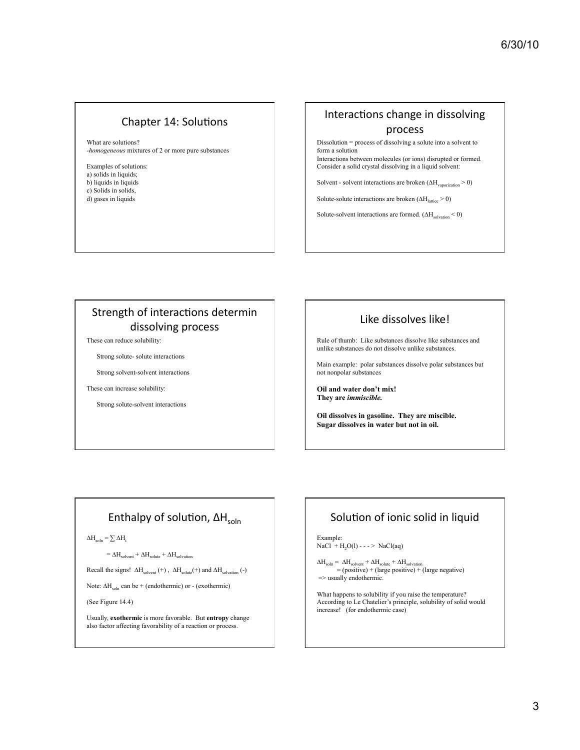## Chapter 14: Solutions

What are solutions? *-homogeneous* mixtures of 2 or more pure substances

Examples of solutions: a) solids in liquids; b) liquids in liquids c) Solids in solids, d) gases in liquids

## Interactions change in dissolving process

Dissolution = process of dissolving a solute into a solvent to form a solution Interactions between molecules (or ions) disrupted or formed.

Consider a solid crystal dissolving in a liquid solvent:

Solvent - solvent interactions are broken  $(\Delta H_{vaporization} > 0)$ 

Solute-solute interactions are broken  $(\Delta H_{\text{lattice}} > 0)$ 

Solute-solvent interactions are formed.  $(\Delta H_{\text{solvation}} < 0)$ 

# Strength of interactions determin dissolving process

These can reduce solubility:

Strong solute- solute interactions

Strong solvent-solvent interactions

These can increase solubility:

Strong solute-solvent interactions

## Like dissolves like!

Rule of thumb: Like substances dissolve like substances and unlike substances do not dissolve unlike substances.

Main example: polar substances dissolve polar substances but not nonpolar substances

**Oil and water don't mix! They are** *immiscible.*

**Oil dissolves in gasoline. They are miscible. Sugar dissolves in water but not in oil.**

# Enthalpy of solution,  $\Delta H_{\text{soln}}$

 $\Delta H_{\text{soln}} = \sum \Delta H_i$ 

 $= \Delta H_{\text{solvent}} + \Delta H_{\text{solute}} + \Delta H_{\text{solvation}}$ 

Recall the signs!  $\Delta H_{\text{solvent}}(+)$ ,  $\Delta H_{\text{solvate}}(+)$  and  $\Delta H_{\text{solvation}}(-)$ 

Note:  $\Delta H_{soln}$  can be + (endothermic) or - (exothermic)

(See Figure 14.4)

Usually, **exothermic** is more favorable. But **entropy** change also factor affecting favorability of a reaction or process.

# Solution of ionic solid in liquid

Example:  $NaCl + H<sub>2</sub>O(l) - - - > NaCl(aq)$ 

```
\Delta H_{\text{soln}} = \Delta H_{\text{solvent}} + \Delta H_{\text{solute}} + \Delta H_{\text{solvation}}<br>= (positive) + (large positive) + (large negative)
\Rightarrow usually endothermic.
```
What happens to solubility if you raise the temperature? According to Le Chatelier's principle, solubility of solid would increase! (for endothermic case)